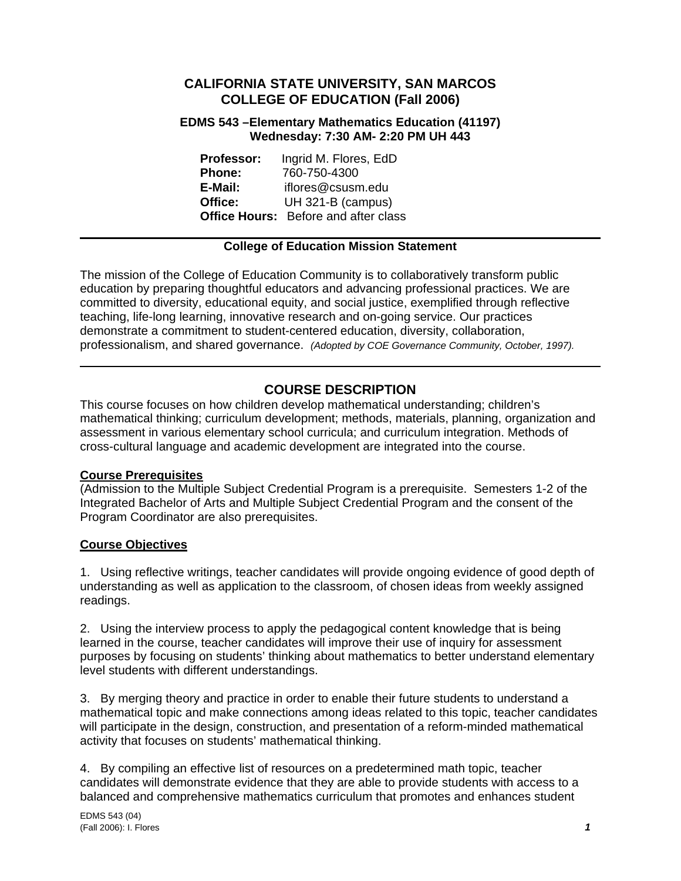## **CALIFORNIA STATE UNIVERSITY, SAN MARCOS COLLEGE OF EDUCATION (Fall 2006)**

#### **EDMS 543 –Elementary Mathematics Education (41197) Wednesday: 7:30 AM- 2:20 PM UH 443**

**Professor:** Ingrid M. Flores, EdD **Phone:** 760-750-4300 **E-Mail:** iflores@csusm.edu **Office:** UH 321-B (campus) **Office Hours:** Before and after class

## **College of Education Mission Statement**

The mission of the College of Education Community is to collaboratively transform public education by preparing thoughtful educators and advancing professional practices. We are committed to diversity, educational equity, and social justice, exemplified through reflective teaching, life-long learning, innovative research and on-going service. Our practices demonstrate a commitment to student-centered education, diversity, collaboration, professionalism, and shared governance. *(Adopted by COE Governance Community, October, 1997).* 

# **COURSE DESCRIPTION**

This course focuses on how children develop mathematical understanding; children's mathematical thinking; curriculum development; methods, materials, planning, organization and assessment in various elementary school curricula; and curriculum integration. Methods of cross-cultural language and academic development are integrated into the course.

#### **Course Prerequisites**

(Admission to the Multiple Subject Credential Program is a prerequisite. Semesters 1-2 of the Integrated Bachelor of Arts and Multiple Subject Credential Program and the consent of the Program Coordinator are also prerequisites.

#### **Course Objectives**

1. Using reflective writings, teacher candidates will provide ongoing evidence of good depth of understanding as well as application to the classroom, of chosen ideas from weekly assigned readings.

2. Using the interview process to apply the pedagogical content knowledge that is being learned in the course, teacher candidates will improve their use of inquiry for assessment purposes by focusing on students' thinking about mathematics to better understand elementary level students with different understandings.

3. By merging theory and practice in order to enable their future students to understand a mathematical topic and make connections among ideas related to this topic, teacher candidates will participate in the design, construction, and presentation of a reform-minded mathematical activity that focuses on students' mathematical thinking.

4. By compiling an effective list of resources on a predetermined math topic, teacher candidates will demonstrate evidence that they are able to provide students with access to a balanced and comprehensive mathematics curriculum that promotes and enhances student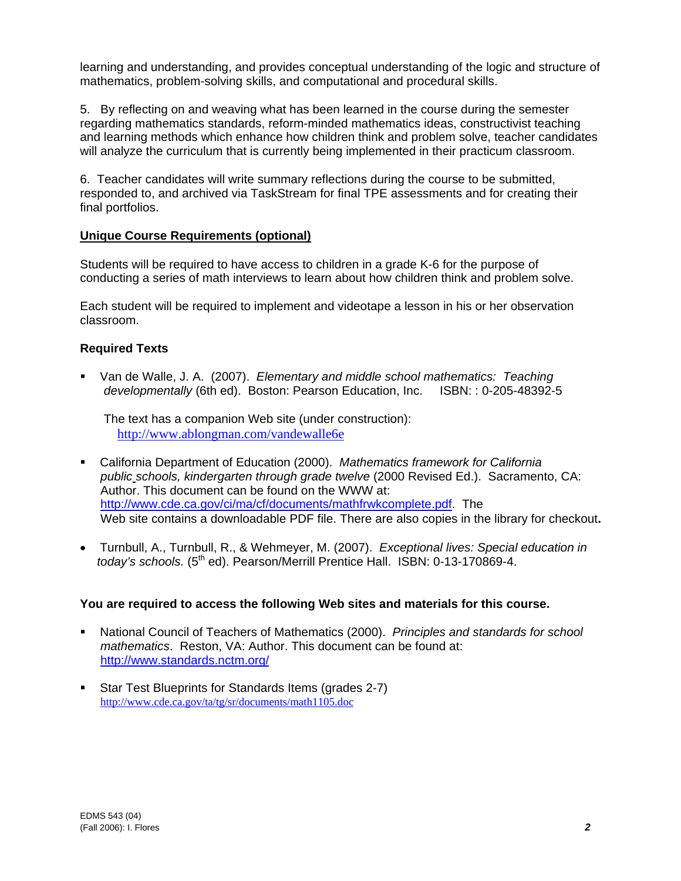learning and understanding, and provides conceptual understanding of the logic and structure of mathematics, problem-solving skills, and computational and procedural skills.

5. By reflecting on and weaving what has been learned in the course during the semester regarding mathematics standards, reform-minded mathematics ideas, constructivist teaching and learning methods which enhance how children think and problem solve, teacher candidates will analyze the curriculum that is currently being implemented in their practicum classroom.

6. Teacher candidates will write summary reflections during the course to be submitted, responded to, and archived via TaskStream for final TPE assessments and for creating their final portfolios.

## **Unique Course Requirements (optional)**

Students will be required to have access to children in a grade K-6 for the purpose of conducting a series of math interviews to learn about how children think and problem solve.

Each student will be required to implement and videotape a lesson in his or her observation classroom.

## **Required Texts**

 Van de Walle, J. A. (2007). *Elementary and middle school mathematics: Teaching developmentally* (6th ed). Boston: Pearson Education, Inc. ISBN: : 0-205-48392-5

 The text has a companion Web site (under construction): http://www.ablongman.com/vandewalle6e

- California Department of Education (2000). *Mathematics framework for California public schools, kindergarten through grade twelve* (2000 Revised Ed.). Sacramento, CA: Author. This document can be found on the WWW at: http://www.cde.ca.gov/ci/ma/cf/documents/mathfrwkcomplete.pdf. The Web site contains a downloadable PDF file. There are also copies in the library for checkout**.**
- Turnbull, A., Turnbull, R., & Wehmeyer, M. (2007). *Exceptional lives: Special education in today's schools.* (5th ed). Pearson/Merrill Prentice Hall. ISBN: 0-13-170869-4.

#### **You are required to access the following Web sites and materials for this course.**

- National Council of Teachers of Mathematics (2000). *Principles and standards for school mathematics*. Reston, VA: Author. This document can be found at: http://www.standards.nctm.org/
- Star Test Blueprints for Standards Items (grades 2-7) http://www.cde.ca.gov/ta/tg/sr/documents/math1105.doc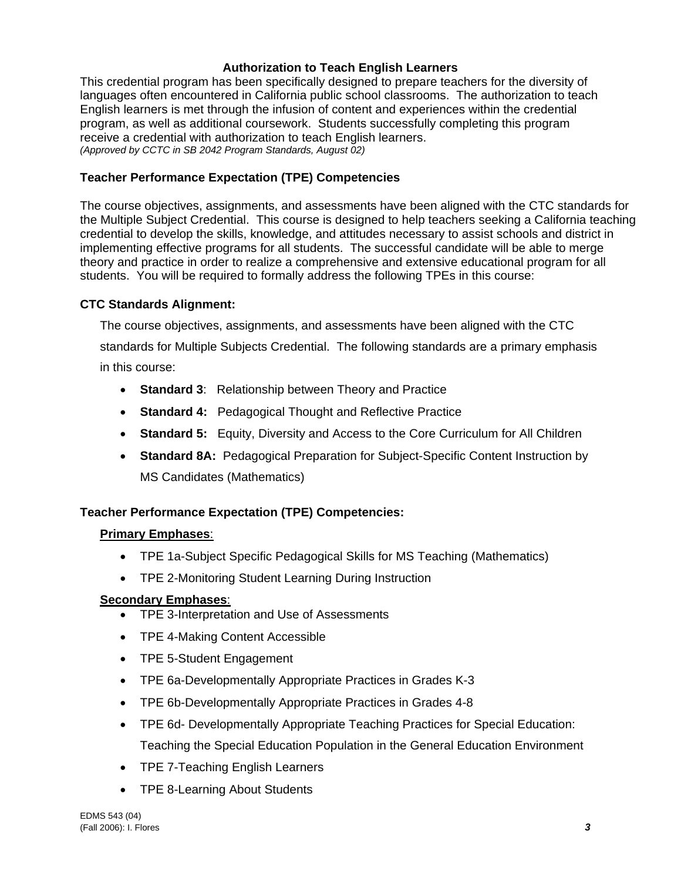## **Authorization to Teach English Learners**

This credential program has been specifically designed to prepare teachers for the diversity of languages often encountered in California public school classrooms. The authorization to teach English learners is met through the infusion of content and experiences within the credential program, as well as additional coursework. Students successfully completing this program receive a credential with authorization to teach English learners. *(Approved by CCTC in SB 2042 Program Standards, August 02)*

## **Teacher Performance Expectation (TPE) Competencies**

The course objectives, assignments, and assessments have been aligned with the CTC standards for the Multiple Subject Credential. This course is designed to help teachers seeking a California teaching credential to develop the skills, knowledge, and attitudes necessary to assist schools and district in implementing effective programs for all students. The successful candidate will be able to merge theory and practice in order to realize a comprehensive and extensive educational program for all students. You will be required to formally address the following TPEs in this course:

#### **CTC Standards Alignment:**

The course objectives, assignments, and assessments have been aligned with the CTC standards for Multiple Subjects Credential. The following standards are a primary emphasis in this course:

- **Standard 3**: Relationship between Theory and Practice
- **Standard 4:** Pedagogical Thought and Reflective Practice
- **Standard 5:** Equity, Diversity and Access to the Core Curriculum for All Children
- **Standard 8A:** Pedagogical Preparation for Subject-Specific Content Instruction by MS Candidates (Mathematics)

#### **Teacher Performance Expectation (TPE) Competencies:**

#### **Primary Emphases**:

- TPE 1a-Subject Specific Pedagogical Skills for MS Teaching (Mathematics)
- TPE 2-Monitoring Student Learning During Instruction

#### **Secondary Emphases**:

- TPE 3-Interpretation and Use of Assessments
- TPE 4-Making Content Accessible
- TPE 5-Student Engagement
- TPE 6a-Developmentally Appropriate Practices in Grades K-3
- TPE 6b-Developmentally Appropriate Practices in Grades 4-8
- TPE 6d- Developmentally Appropriate Teaching Practices for Special Education: Teaching the Special Education Population in the General Education Environment
- TPE 7-Teaching English Learners
- TPE 8-Learning About Students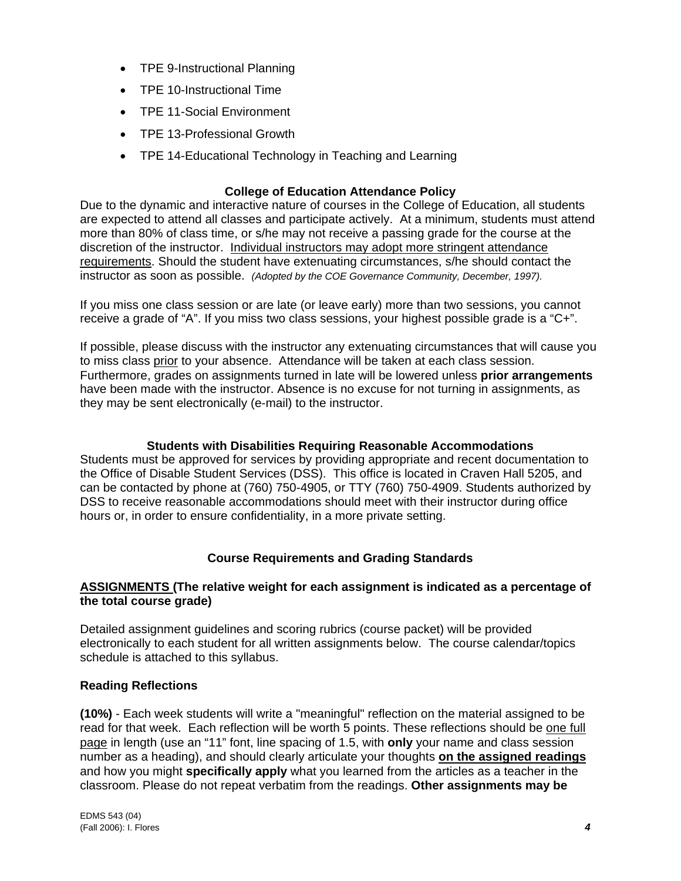- TPE 9-Instructional Planning
- TPE 10-Instructional Time
- TPE 11-Social Environment
- TPE 13-Professional Growth
- TPE 14-Educational Technology in Teaching and Learning

#### **College of Education Attendance Policy**

Due to the dynamic and interactive nature of courses in the College of Education, all students are expected to attend all classes and participate actively. At a minimum, students must attend more than 80% of class time, or s/he may not receive a passing grade for the course at the discretion of the instructor. Individual instructors may adopt more stringent attendance requirements. Should the student have extenuating circumstances, s/he should contact the instructor as soon as possible. *(Adopted by the COE Governance Community, December, 1997).*

If you miss one class session or are late (or leave early) more than two sessions, you cannot receive a grade of "A". If you miss two class sessions, your highest possible grade is a "C+".

If possible, please discuss with the instructor any extenuating circumstances that will cause you to miss class prior to your absence. Attendance will be taken at each class session. Furthermore, grades on assignments turned in late will be lowered unless **prior arrangements**  have been made with the instructor. Absence is no excuse for not turning in assignments, as they may be sent electronically (e-mail) to the instructor.

#### **Students with Disabilities Requiring Reasonable Accommodations**

Students must be approved for services by providing appropriate and recent documentation to the Office of Disable Student Services (DSS). This office is located in Craven Hall 5205, and can be contacted by phone at (760) 750-4905, or TTY (760) 750-4909. Students authorized by DSS to receive reasonable accommodations should meet with their instructor during office hours or, in order to ensure confidentiality, in a more private setting.

#### **Course Requirements and Grading Standards**

#### **ASSIGNMENTS (The relative weight for each assignment is indicated as a percentage of the total course grade)**

Detailed assignment guidelines and scoring rubrics (course packet) will be provided electronically to each student for all written assignments below. The course calendar/topics schedule is attached to this syllabus.

#### **Reading Reflections**

**(10%)** - Each week students will write a "meaningful" reflection on the material assigned to be read for that week. Each reflection will be worth 5 points. These reflections should be one full page in length (use an "11" font, line spacing of 1.5, with **only** your name and class session number as a heading), and should clearly articulate your thoughts **on the assigned readings** and how you might **specifically apply** what you learned from the articles as a teacher in the classroom. Please do not repeat verbatim from the readings. **Other assignments may be**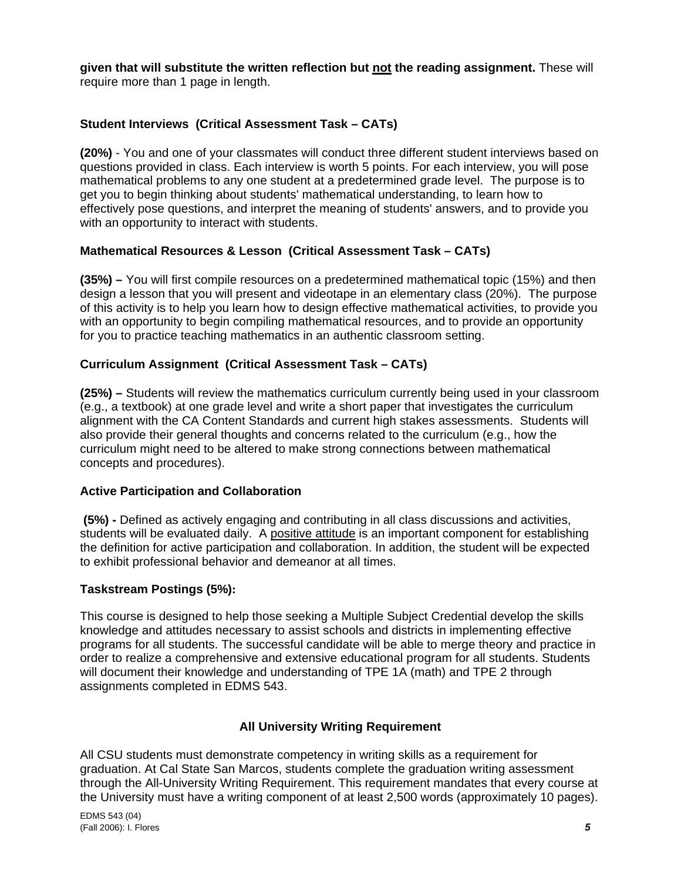**given that will substitute the written reflection but not the reading assignment.** These will require more than 1 page in length.

## **Student Interviews (Critical Assessment Task – CATs)**

**(20%)** - You and one of your classmates will conduct three different student interviews based on questions provided in class. Each interview is worth 5 points. For each interview, you will pose mathematical problems to any one student at a predetermined grade level. The purpose is to get you to begin thinking about students' mathematical understanding, to learn how to effectively pose questions, and interpret the meaning of students' answers, and to provide you with an opportunity to interact with students.

## **Mathematical Resources & Lesson (Critical Assessment Task – CATs)**

**(35%) –** You will first compile resources on a predetermined mathematical topic (15%) and then design a lesson that you will present and videotape in an elementary class (20%). The purpose of this activity is to help you learn how to design effective mathematical activities, to provide you with an opportunity to begin compiling mathematical resources, and to provide an opportunity for you to practice teaching mathematics in an authentic classroom setting.

## **Curriculum Assignment (Critical Assessment Task – CATs)**

**(25%) –** Students will review the mathematics curriculum currently being used in your classroom (e.g., a textbook) at one grade level and write a short paper that investigates the curriculum alignment with the CA Content Standards and current high stakes assessments. Students will also provide their general thoughts and concerns related to the curriculum (e.g., how the curriculum might need to be altered to make strong connections between mathematical concepts and procedures).

#### **Active Participation and Collaboration**

 **(5%) -** Defined as actively engaging and contributing in all class discussions and activities, students will be evaluated daily. A positive attitude is an important component for establishing the definition for active participation and collaboration. In addition, the student will be expected to exhibit professional behavior and demeanor at all times.

#### **Taskstream Postings (5%):**

This course is designed to help those seeking a Multiple Subject Credential develop the skills knowledge and attitudes necessary to assist schools and districts in implementing effective programs for all students. The successful candidate will be able to merge theory and practice in order to realize a comprehensive and extensive educational program for all students. Students will document their knowledge and understanding of TPE 1A (math) and TPE 2 through assignments completed in EDMS 543.

#### **All University Writing Requirement**

All CSU students must demonstrate competency in writing skills as a requirement for graduation. At Cal State San Marcos, students complete the graduation writing assessment through the All-University Writing Requirement. This requirement mandates that every course at the University must have a writing component of at least 2,500 words (approximately 10 pages).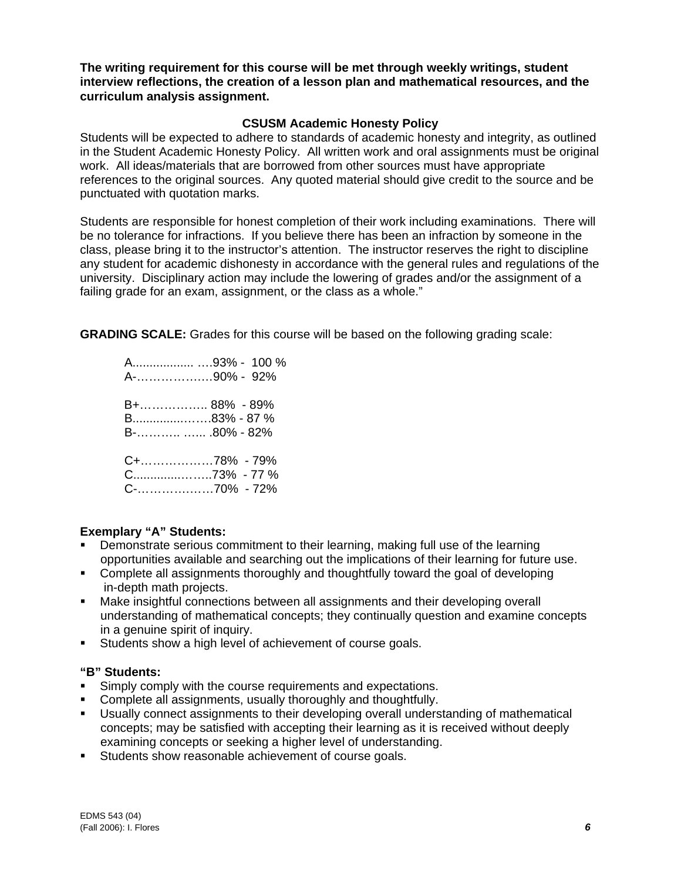**The writing requirement for this course will be met through weekly writings, student interview reflections, the creation of a lesson plan and mathematical resources, and the curriculum analysis assignment.**

#### **CSUSM Academic Honesty Policy**

Students will be expected to adhere to standards of academic honesty and integrity, as outlined in the Student Academic Honesty Policy. All written work and oral assignments must be original work. All ideas/materials that are borrowed from other sources must have appropriate references to the original sources. Any quoted material should give credit to the source and be punctuated with quotation marks.

Students are responsible for honest completion of their work including examinations. There will be no tolerance for infractions. If you believe there has been an infraction by someone in the class, please bring it to the instructor's attention. The instructor reserves the right to discipline any student for academic dishonesty in accordance with the general rules and regulations of the university. Disciplinary action may include the lowering of grades and/or the assignment of a failing grade for an exam, assignment, or the class as a whole."

**GRADING SCALE:** Grades for this course will be based on the following grading scale:

 A.................. ….93% - 100 % A-…………….…90% - 92% B+…………….. 88% - 89% B...............…….83% - 87 % B-……….. …... .80% - 82% C+………………78% - 79% C..............……..73% - 77 % C-………….……70% - 72%

#### **Exemplary "A" Students:**

- Demonstrate serious commitment to their learning, making full use of the learning opportunities available and searching out the implications of their learning for future use.
- Complete all assignments thoroughly and thoughtfully toward the goal of developing in-depth math projects.
- Make insightful connections between all assignments and their developing overall understanding of mathematical concepts; they continually question and examine concepts in a genuine spirit of inquiry.
- Students show a high level of achievement of course goals.

#### **"B" Students:**

- Simply comply with the course requirements and expectations.
- Complete all assignments, usually thoroughly and thoughtfully.
- Usually connect assignments to their developing overall understanding of mathematical concepts; may be satisfied with accepting their learning as it is received without deeply examining concepts or seeking a higher level of understanding.
- Students show reasonable achievement of course goals.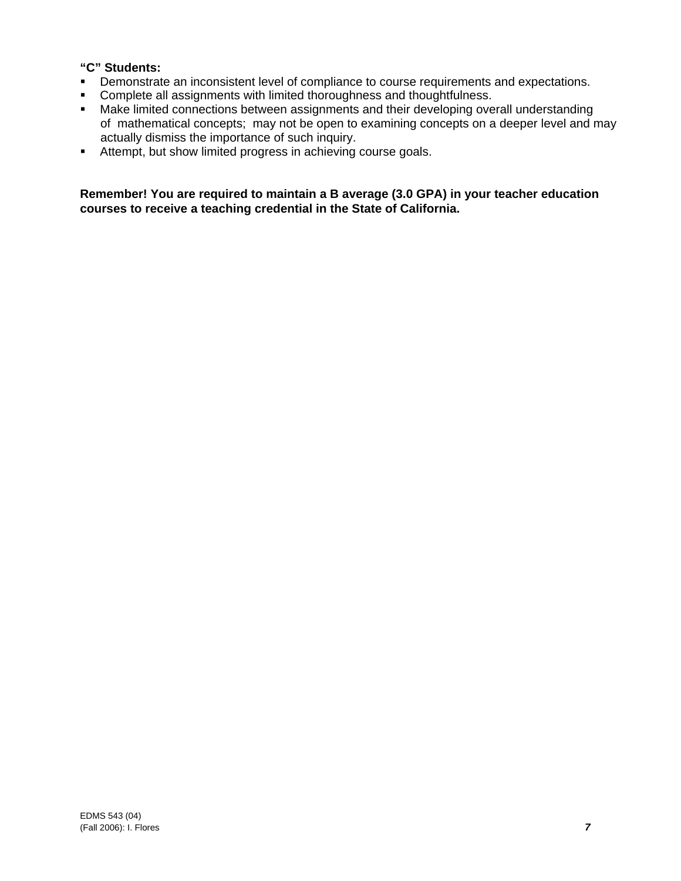## **"C" Students:**

- **•** Demonstrate an inconsistent level of compliance to course requirements and expectations.
- **Complete all assignments with limited thoroughness and thoughtfulness.**
- **Make limited connections between assignments and their developing overall understanding**  of mathematical concepts; may not be open to examining concepts on a deeper level and may actually dismiss the importance of such inquiry.
- Attempt, but show limited progress in achieving course goals.

**Remember! You are required to maintain a B average (3.0 GPA) in your teacher education courses to receive a teaching credential in the State of California.**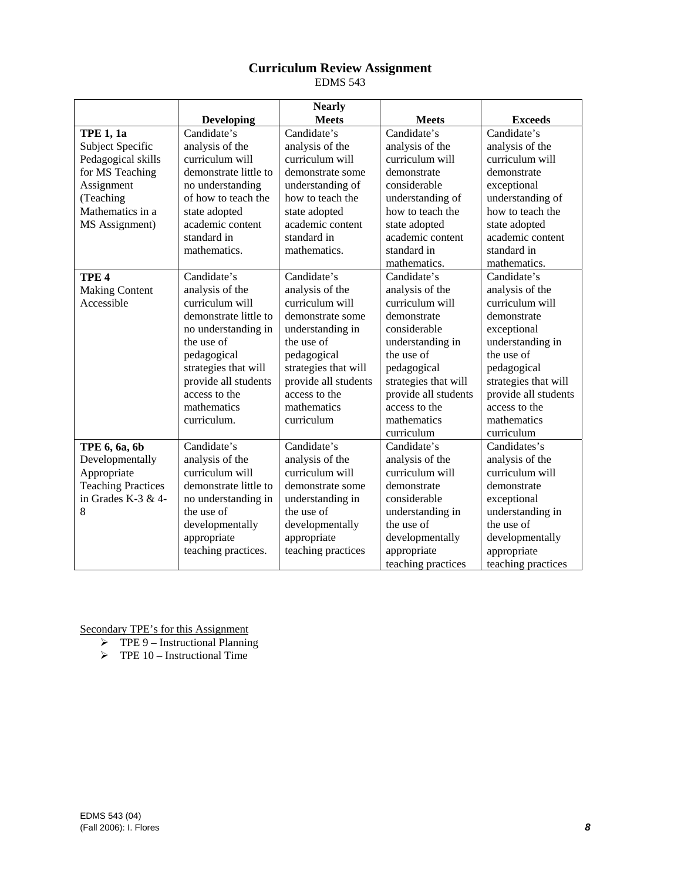## **Curriculum Review Assignment**

EDMS 543

|                           |                       | <b>Nearly</b>        |                      |                      |
|---------------------------|-----------------------|----------------------|----------------------|----------------------|
|                           | <b>Developing</b>     | <b>Meets</b>         | <b>Meets</b>         | <b>Exceeds</b>       |
| <b>TPE 1, 1a</b>          | Candidate's           | Candidate's          | Candidate's          | Candidate's          |
| Subject Specific          | analysis of the       | analysis of the      | analysis of the      | analysis of the      |
| Pedagogical skills        | curriculum will       | curriculum will      | curriculum will      | curriculum will      |
| for MS Teaching           | demonstrate little to | demonstrate some     | demonstrate          | demonstrate          |
| Assignment                | no understanding      | understanding of     | considerable         | exceptional          |
| (Teaching                 | of how to teach the   | how to teach the     | understanding of     | understanding of     |
| Mathematics in a          | state adopted         | state adopted        | how to teach the     | how to teach the     |
| MS Assignment)            | academic content      | academic content     | state adopted        | state adopted        |
|                           | standard in           | standard in          | academic content     | academic content     |
|                           | mathematics.          | mathematics.         | standard in          | standard in          |
|                           |                       |                      | mathematics.         | mathematics.         |
| TPE <sub>4</sub>          | Candidate's           | Candidate's          | Candidate's          | Candidate's          |
| <b>Making Content</b>     | analysis of the       | analysis of the      | analysis of the      | analysis of the      |
| Accessible                | curriculum will       | curriculum will      | curriculum will      | curriculum will      |
|                           | demonstrate little to | demonstrate some     | demonstrate          | demonstrate          |
|                           | no understanding in   | understanding in     | considerable         | exceptional          |
|                           | the use of            | the use of           | understanding in     | understanding in     |
|                           | pedagogical           | pedagogical          | the use of           | the use of           |
|                           | strategies that will  | strategies that will | pedagogical          | pedagogical          |
|                           | provide all students  | provide all students | strategies that will | strategies that will |
|                           | access to the         | access to the        | provide all students | provide all students |
|                           | mathematics           | mathematics          | access to the        | access to the        |
|                           | curriculum.           | curriculum           | mathematics          | mathematics          |
|                           |                       |                      | curriculum           | curriculum           |
| TPE 6, 6a, 6b             | Candidate's           | Candidate's          | Candidate's          | Candidates's         |
| Developmentally           | analysis of the       | analysis of the      | analysis of the      | analysis of the      |
| Appropriate               | curriculum will       | curriculum will      | curriculum will      | curriculum will      |
| <b>Teaching Practices</b> | demonstrate little to | demonstrate some     | demonstrate          | demonstrate          |
| in Grades K-3 & 4-        | no understanding in   | understanding in     | considerable         | exceptional          |
| 8                         | the use of            | the use of           | understanding in     | understanding in     |
|                           | developmentally       | developmentally      | the use of           | the use of           |
|                           | appropriate           | appropriate          | developmentally      | developmentally      |
|                           | teaching practices.   | teaching practices   | appropriate          | appropriate          |
|                           |                       |                      | teaching practices   | teaching practices   |

Secondary TPE's for this Assignment

- $\triangleright$  TPE 9 Instructional Planning
- $\triangleright$  TPE 10 Instructional Time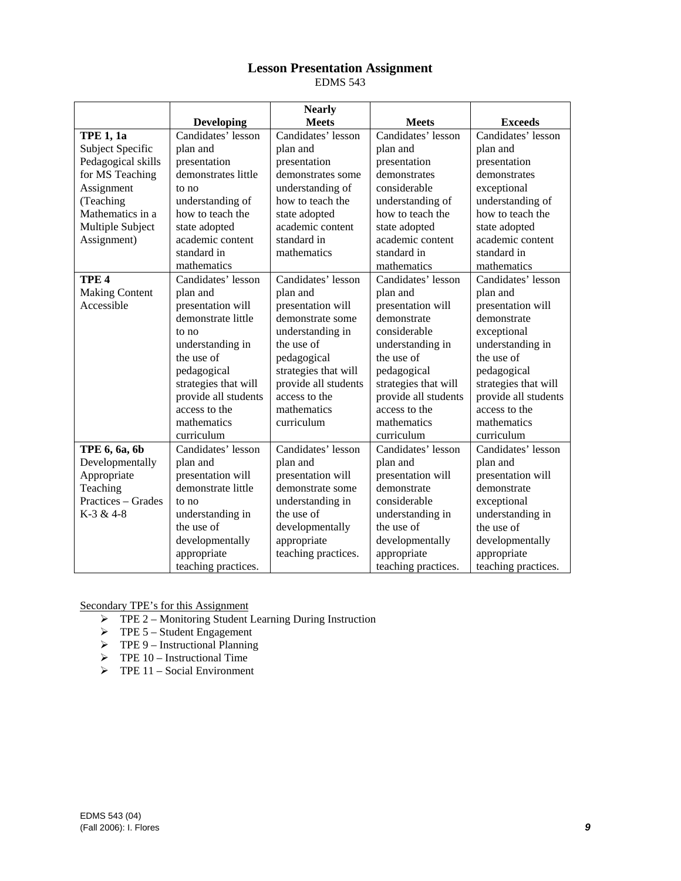# **Lesson Presentation Assignment**

EDMS 543

|                       |                      | <b>Nearly</b>        |                      |                      |
|-----------------------|----------------------|----------------------|----------------------|----------------------|
|                       | <b>Developing</b>    | <b>Meets</b>         | <b>Meets</b>         | <b>Exceeds</b>       |
| <b>TPE 1, 1a</b>      | Candidates' lesson   | Candidates' lesson   | Candidates' lesson   | Candidates' lesson   |
| Subject Specific      | plan and             | plan and             | plan and             | plan and             |
| Pedagogical skills    | presentation         | presentation         | presentation         | presentation         |
| for MS Teaching       | demonstrates little  | demonstrates some    | demonstrates         | demonstrates         |
| Assignment            | to no                | understanding of     | considerable         | exceptional          |
| (Teaching             | understanding of     | how to teach the     | understanding of     | understanding of     |
| Mathematics in a      | how to teach the     | state adopted        | how to teach the     | how to teach the     |
| Multiple Subject      | state adopted        | academic content     | state adopted        | state adopted        |
| Assignment)           | academic content     | standard in          | academic content     | academic content     |
|                       | standard in          | mathematics          | standard in          | standard in          |
|                       | mathematics          |                      | mathematics          | mathematics          |
| TPE <sub>4</sub>      | Candidates' lesson   | Candidates' lesson   | Candidates' lesson   | Candidates' lesson   |
| <b>Making Content</b> | plan and             | plan and             | plan and             | plan and             |
| Accessible            | presentation will    | presentation will    | presentation will    | presentation will    |
|                       | demonstrate little   | demonstrate some     | demonstrate          | demonstrate          |
|                       | to no                | understanding in     | considerable         | exceptional          |
|                       | understanding in     | the use of           | understanding in     | understanding in     |
|                       | the use of           | pedagogical          | the use of           | the use of           |
|                       | pedagogical          | strategies that will | pedagogical          | pedagogical          |
|                       | strategies that will | provide all students | strategies that will | strategies that will |
|                       | provide all students | access to the        | provide all students | provide all students |
|                       | access to the        | mathematics          | access to the        | access to the        |
|                       | mathematics          | curriculum           | mathematics          | mathematics          |
|                       | curriculum           |                      | curriculum           | curriculum           |
| TPE 6, 6a, 6b         | Candidates' lesson   | Candidates' lesson   | Candidates' lesson   | Candidates' lesson   |
| Developmentally       | plan and             | plan and             | plan and             | plan and             |
| Appropriate           | presentation will    | presentation will    | presentation will    | presentation will    |
| Teaching              | demonstrate little   | demonstrate some     | demonstrate          | demonstrate          |
| Practices – Grades    | to no                | understanding in     | considerable         | exceptional          |
| K-3 & 4-8             | understanding in     | the use of           | understanding in     | understanding in     |
|                       | the use of           | developmentally      | the use of           | the use of           |
|                       | developmentally      | appropriate          | developmentally      | developmentally      |
|                       | appropriate          | teaching practices.  | appropriate          | appropriate          |
|                       | teaching practices.  |                      | teaching practices.  | teaching practices.  |

Secondary TPE's for this Assignment

- ¾ TPE 2 Monitoring Student Learning During Instruction
- $\triangleright$  TPE 5 Student Engagement
- $\triangleright$  TPE 9 Instructional Planning
- $\triangleright$  TPE 10 Instructional Time
- $\triangleright$  TPE 11 Social Environment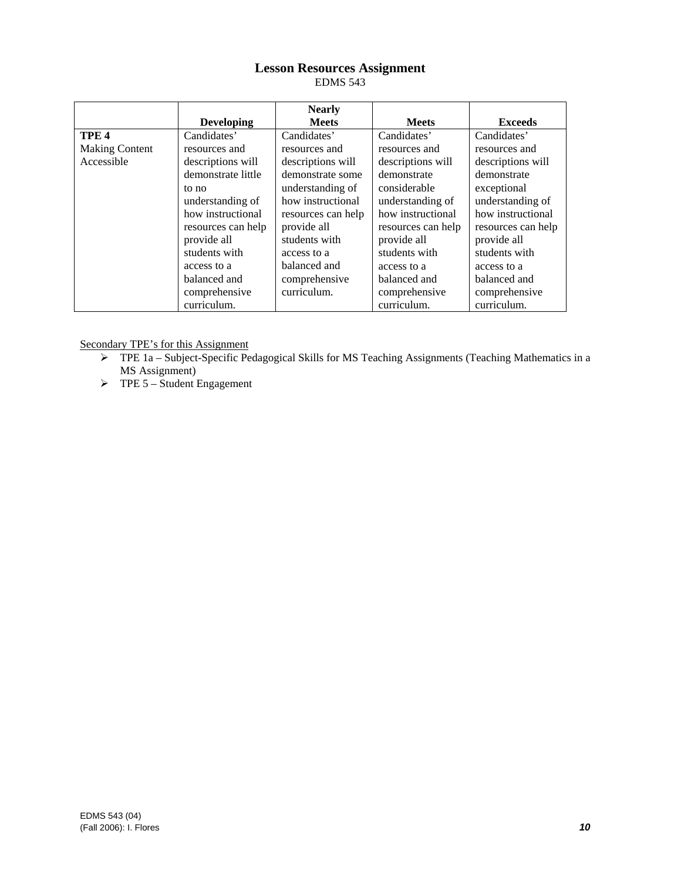# **Lesson Resources Assignment**

EDMS 543

|                       |                    | <b>Nearly</b>      |                    |                    |
|-----------------------|--------------------|--------------------|--------------------|--------------------|
|                       | <b>Developing</b>  | <b>Meets</b>       | <b>Meets</b>       | <b>Exceeds</b>     |
| TPE <sub>4</sub>      | Candidates'        | Candidates'        | Candidates'        | Candidates'        |
| <b>Making Content</b> | resources and      | resources and      | resources and      | resources and      |
| Accessible            | descriptions will  | descriptions will  | descriptions will  | descriptions will  |
|                       | demonstrate little | demonstrate some   | demonstrate        | demonstrate        |
|                       | to no              | understanding of   | considerable       | exceptional        |
|                       | understanding of   | how instructional  | understanding of   | understanding of   |
|                       | how instructional  | resources can help | how instructional  | how instructional  |
|                       | resources can help | provide all        | resources can help | resources can help |
|                       | provide all        | students with      | provide all        | provide all        |
|                       | students with      | access to a        | students with      | students with      |
|                       | access to a        | balanced and       | access to a        | access to a        |
|                       | balanced and       | comprehensive      | balanced and       | balanced and       |
|                       | comprehensive      | curriculum.        | comprehensive      | comprehensive      |
|                       | curriculum.        |                    | curriculum.        | curriculum.        |

Secondary TPE's for this Assignment

- ¾ TPE 1a Subject-Specific Pedagogical Skills for MS Teaching Assignments (Teaching Mathematics in a MS Assignment)
- $\triangleright$  TPE 5 Student Engagement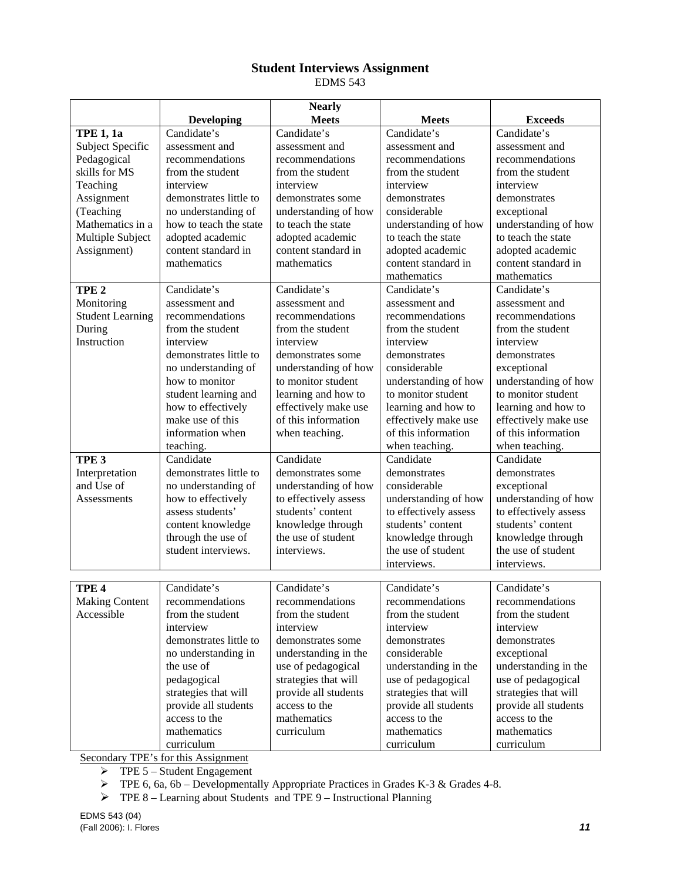## **Student Interviews Assignment**

EDMS 543

|                         |                        | <b>Nearly</b>         |                       |                       |
|-------------------------|------------------------|-----------------------|-----------------------|-----------------------|
|                         | <b>Developing</b>      | <b>Meets</b>          | <b>Meets</b>          | <b>Exceeds</b>        |
| <b>TPE 1, 1a</b>        | Candidate's            | Candidate's           | Candidate's           | Candidate's           |
| Subject Specific        | assessment and         | assessment and        | assessment and        | assessment and        |
| Pedagogical             | recommendations        | recommendations       | recommendations       | recommendations       |
| skills for MS           | from the student       | from the student      | from the student      | from the student      |
| Teaching                | interview              | interview             | interview             | interview             |
| Assignment              | demonstrates little to | demonstrates some     | demonstrates          | demonstrates          |
| (Teaching               | no understanding of    | understanding of how  | considerable          | exceptional           |
| Mathematics in a        | how to teach the state | to teach the state    | understanding of how  | understanding of how  |
| Multiple Subject        | adopted academic       | adopted academic      | to teach the state    | to teach the state    |
| Assignment)             | content standard in    | content standard in   | adopted academic      | adopted academic      |
|                         | mathematics            | mathematics           | content standard in   | content standard in   |
|                         |                        |                       | mathematics           | mathematics           |
| TPE <sub>2</sub>        | Candidate's            | Candidate's           | Candidate's           | Candidate's           |
| Monitoring              | assessment and         | assessment and        | assessment and        | assessment and        |
| <b>Student Learning</b> | recommendations        | recommendations       | recommendations       | recommendations       |
| During                  | from the student       | from the student      | from the student      | from the student      |
| Instruction             | interview              | interview             | interview             | interview             |
|                         | demonstrates little to | demonstrates some     | demonstrates          | demonstrates          |
|                         | no understanding of    | understanding of how  | considerable          | exceptional           |
|                         | how to monitor         | to monitor student    | understanding of how  | understanding of how  |
|                         | student learning and   | learning and how to   | to monitor student    | to monitor student    |
|                         | how to effectively     | effectively make use  | learning and how to   | learning and how to   |
|                         | make use of this       | of this information   | effectively make use  | effectively make use  |
|                         | information when       | when teaching.        | of this information   | of this information   |
|                         | teaching.              |                       | when teaching.        | when teaching.        |
| TPE <sub>3</sub>        | Candidate              | Candidate             | Candidate             | Candidate             |
| Interpretation          | demonstrates little to | demonstrates some     | demonstrates          | demonstrates          |
| and Use of              | no understanding of    | understanding of how  | considerable          | exceptional           |
| Assessments             | how to effectively     | to effectively assess | understanding of how  | understanding of how  |
|                         | assess students'       | students' content     | to effectively assess | to effectively assess |
|                         | content knowledge      | knowledge through     | students' content     | students' content     |
|                         | through the use of     | the use of student    | knowledge through     | knowledge through     |
|                         | student interviews.    | interviews.           | the use of student    | the use of student    |
|                         |                        |                       | interviews.           | interviews.           |
|                         |                        |                       |                       |                       |
| TPE <sub>4</sub>        | Candidate's            | Candidate's           | Candidate's           | Candidate's           |
| <b>Making Content</b>   | recommendations        | recommendations       | recommendations       | recommendations       |
| Accessible              | from the student       | from the student      | from the student      | from the student      |
|                         | interview              | interview             | interview             | interview             |
|                         | demonstrates little to | demonstrates some     | demonstrates          | demonstrates          |
|                         | no understanding in    | understanding in the  | considerable          | exceptional           |
|                         | the use of             | use of pedagogical    | understanding in the  | understanding in the  |
|                         | pedagogical            | strategies that will  | use of pedagogical    | use of pedagogical    |
|                         | strategies that will   | provide all students  | strategies that will  | strategies that will  |
|                         | provide all students   | access to the         | provide all students  | provide all students  |
|                         | access to the          | mathematics           | access to the         | access to the         |
|                         | mathematics            | curriculum            | mathematics           | mathematics           |
|                         | curriculum             |                       | curriculum            | curriculum            |

Secondary TPE's for this Assignment

 $\triangleright$  TPE 5 – Student Engagement

 $\triangleright$  TPE 6, 6a, 6b – Developmentally Appropriate Practices in Grades K-3 & Grades 4-8.

¾ TPE 8 – Learning about Students and TPE 9 – Instructional Planning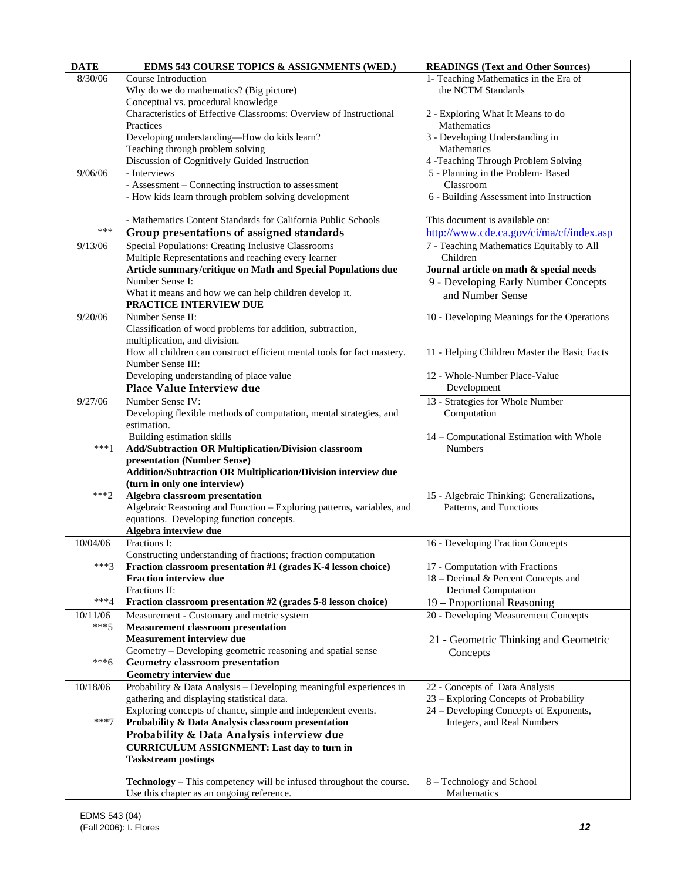| <b>DATE</b> | EDMS 543 COURSE TOPICS & ASSIGNMENTS (WED.)                             | <b>READINGS (Text and Other Sources)</b>     |
|-------------|-------------------------------------------------------------------------|----------------------------------------------|
| 8/30/06     | Course Introduction                                                     | 1- Teaching Mathematics in the Era of        |
|             | Why do we do mathematics? (Big picture)                                 | the NCTM Standards                           |
|             | Conceptual vs. procedural knowledge                                     |                                              |
|             | Characteristics of Effective Classrooms: Overview of Instructional      | 2 - Exploring What It Means to do            |
|             | Practices                                                               | Mathematics                                  |
|             | Developing understanding-How do kids learn?                             | 3 - Developing Understanding in              |
|             | Teaching through problem solving                                        | Mathematics                                  |
|             | Discussion of Cognitively Guided Instruction                            | 4 -Teaching Through Problem Solving          |
| 9/06/06     | - Interviews                                                            | 5 - Planning in the Problem-Based            |
|             | - Assessment - Connecting instruction to assessment                     | Classroom                                    |
|             | - How kids learn through problem solving development                    | 6 - Building Assessment into Instruction     |
|             |                                                                         |                                              |
|             | - Mathematics Content Standards for California Public Schools           | This document is available on:               |
| ***         |                                                                         |                                              |
|             | Group presentations of assigned standards                               | http://www.cde.ca.gov/ci/ma/cf/index.asp     |
| 9/13/06     | Special Populations: Creating Inclusive Classrooms                      | 7 - Teaching Mathematics Equitably to All    |
|             | Multiple Representations and reaching every learner                     | Children                                     |
|             | Article summary/critique on Math and Special Populations due            | Journal article on math & special needs      |
|             | Number Sense I:                                                         | 9 - Developing Early Number Concepts         |
|             | What it means and how we can help children develop it.                  | and Number Sense                             |
|             | PRACTICE INTERVIEW DUE                                                  |                                              |
| 9/20/06     | Number Sense II:                                                        | 10 - Developing Meanings for the Operations  |
|             | Classification of word problems for addition, subtraction,              |                                              |
|             | multiplication, and division.                                           |                                              |
|             | How all children can construct efficient mental tools for fact mastery. | 11 - Helping Children Master the Basic Facts |
|             | Number Sense III:                                                       |                                              |
|             | Developing understanding of place value                                 | 12 - Whole-Number Place-Value                |
|             | Place Value Interview due                                               | Development                                  |
| 9/27/06     | Number Sense IV:                                                        | 13 - Strategies for Whole Number             |
|             | Developing flexible methods of computation, mental strategies, and      | Computation                                  |
|             | estimation.                                                             |                                              |
|             | Building estimation skills                                              | 14 - Computational Estimation with Whole     |
| $***1$      | Add/Subtraction OR Multiplication/Division classroom                    | <b>Numbers</b>                               |
|             | presentation (Number Sense)                                             |                                              |
|             | Addition/Subtraction OR Multiplication/Division interview due           |                                              |
|             | (turn in only one interview)                                            |                                              |
| $***2$      | Algebra classroom presentation                                          | 15 - Algebraic Thinking: Generalizations,    |
|             | Algebraic Reasoning and Function - Exploring patterns, variables, and   | Patterns, and Functions                      |
|             | equations. Developing function concepts.                                |                                              |
|             | Algebra interview due                                                   |                                              |
| 10/04/06    | Fractions I:                                                            | 16 - Developing Fraction Concepts            |
|             | Constructing understanding of fractions; fraction computation           |                                              |
| $***3$      | Fraction classroom presentation #1 (grades K-4 lesson choice)           | 17 - Computation with Fractions              |
|             | <b>Fraction interview due</b>                                           | 18 - Decimal & Percent Concepts and          |
|             | Fractions II:                                                           | Decimal Computation                          |
| $***4$      | Fraction classroom presentation #2 (grades 5-8 lesson choice)           | 19 – Proportional Reasoning                  |
| 10/11/06    | Measurement - Customary and metric system                               | 20 - Developing Measurement Concepts         |
| $***5$      | <b>Measurement classroom presentation</b>                               |                                              |
|             | Measurement interview due                                               | 21 - Geometric Thinking and Geometric        |
|             | Geometry - Developing geometric reasoning and spatial sense             | Concepts                                     |
| $***6$      | Geometry classroom presentation                                         |                                              |
|             | Geometry interview due                                                  |                                              |
| 10/18/06    | Probability & Data Analysis - Developing meaningful experiences in      | 22 - Concepts of Data Analysis               |
|             | gathering and displaying statistical data.                              | 23 – Exploring Concepts of Probability       |
|             | Exploring concepts of chance, simple and independent events.            | 24 – Developing Concepts of Exponents,       |
| $***7$      | Probability & Data Analysis classroom presentation                      | Integers, and Real Numbers                   |
|             | Probability & Data Analysis interview due                               |                                              |
|             | <b>CURRICULUM ASSIGNMENT: Last day to turn in</b>                       |                                              |
|             | <b>Taskstream postings</b>                                              |                                              |
|             |                                                                         |                                              |
|             | Technology - This competency will be infused throughout the course.     | 8 – Technology and School                    |
|             | Use this chapter as an ongoing reference.                               | Mathematics                                  |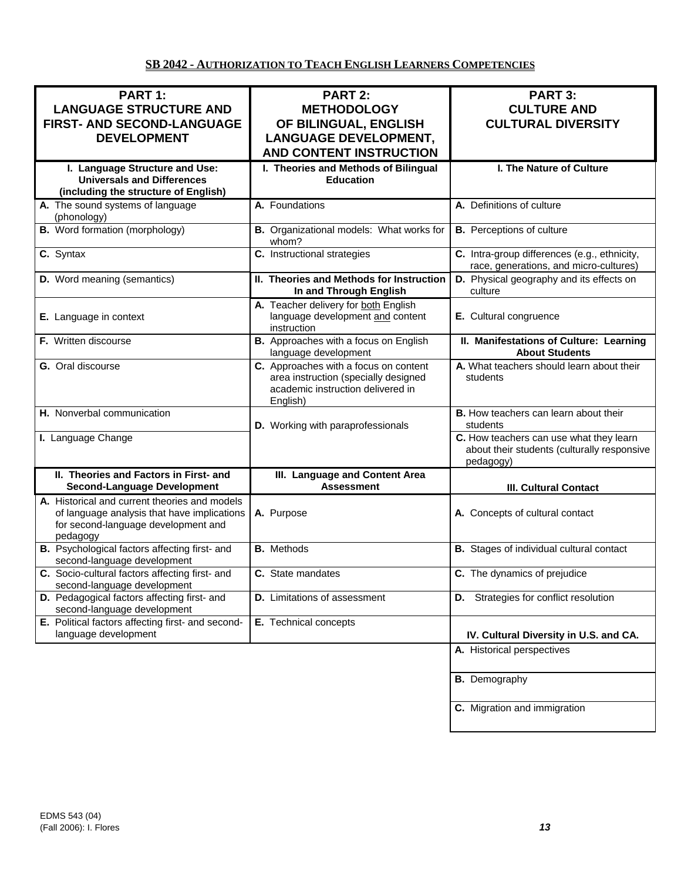## **SB 2042 - AUTHORIZATION TO TEACH ENGLISH LEARNERS COMPETENCIES**

| PART 1:<br><b>LANGUAGE STRUCTURE AND</b><br>FIRST- AND SECOND-LANGUAGE<br><b>DEVELOPMENT</b>                                                    | <b>PART 2:</b><br><b>METHODOLOGY</b><br>OF BILINGUAL, ENGLISH<br><b>LANGUAGE DEVELOPMENT,</b>                                  | <b>PART 3:</b><br><b>CULTURE AND</b><br><b>CULTURAL DIVERSITY</b>                                   |
|-------------------------------------------------------------------------------------------------------------------------------------------------|--------------------------------------------------------------------------------------------------------------------------------|-----------------------------------------------------------------------------------------------------|
|                                                                                                                                                 | <b>AND CONTENT INSTRUCTION</b>                                                                                                 |                                                                                                     |
| I. Language Structure and Use:<br><b>Universals and Differences</b><br>(including the structure of English)                                     | I. Theories and Methods of Bilingual<br><b>Education</b>                                                                       | I. The Nature of Culture                                                                            |
| A. The sound systems of language<br>(phonology)                                                                                                 | A. Foundations                                                                                                                 | A. Definitions of culture                                                                           |
| <b>B.</b> Word formation (morphology)                                                                                                           | B. Organizational models: What works for<br>whom?                                                                              | <b>B.</b> Perceptions of culture                                                                    |
| $\overline{c}$ . Syntax                                                                                                                         | C. Instructional strategies                                                                                                    | C. Intra-group differences (e.g., ethnicity,<br>race, generations, and micro-cultures)              |
| <b>D.</b> Word meaning (semantics)                                                                                                              | II. Theories and Methods for Instruction<br>In and Through English                                                             | D. Physical geography and its effects on<br>culture                                                 |
| E. Language in context                                                                                                                          | A. Teacher delivery for both English<br>language development and content<br>instruction                                        | E. Cultural congruence                                                                              |
| <b>F.</b> Written discourse                                                                                                                     | <b>B.</b> Approaches with a focus on English<br>language development                                                           | II. Manifestations of Culture: Learning<br><b>About Students</b>                                    |
| G. Oral discourse                                                                                                                               | C. Approaches with a focus on content<br>area instruction (specially designed<br>academic instruction delivered in<br>English) | A. What teachers should learn about their<br>students                                               |
| H. Nonverbal communication                                                                                                                      | D. Working with paraprofessionals                                                                                              | <b>B.</b> How teachers can learn about their<br>students                                            |
| I. Language Change                                                                                                                              |                                                                                                                                | C. How teachers can use what they learn<br>about their students (culturally responsive<br>pedagogy) |
| II. Theories and Factors in First- and<br><b>Second-Language Development</b>                                                                    | III. Language and Content Area<br><b>Assessment</b>                                                                            | <b>III. Cultural Contact</b>                                                                        |
| A. Historical and current theories and models<br>of language analysis that have implications<br>for second-language development and<br>pedagogy | A. Purpose                                                                                                                     | A. Concepts of cultural contact                                                                     |
| B. Psychological factors affecting first- and<br>second-language development                                                                    | <b>B.</b> Methods                                                                                                              | <b>B.</b> Stages of individual cultural contact                                                     |
| C. Socio-cultural factors affecting first- and<br>second-language development                                                                   | C. State mandates                                                                                                              | C. The dynamics of prejudice                                                                        |
| D. Pedagogical factors affecting first- and<br>second-language development                                                                      | <b>D.</b> Limitations of assessment                                                                                            | <b>D.</b> Strategies for conflict resolution                                                        |
| E. Political factors affecting first- and second-<br>language development                                                                       | E. Technical concepts                                                                                                          | IV. Cultural Diversity in U.S. and CA.                                                              |
|                                                                                                                                                 |                                                                                                                                | A. Historical perspectives                                                                          |
|                                                                                                                                                 |                                                                                                                                | <b>B.</b> Demography                                                                                |
|                                                                                                                                                 |                                                                                                                                | C. Migration and immigration                                                                        |